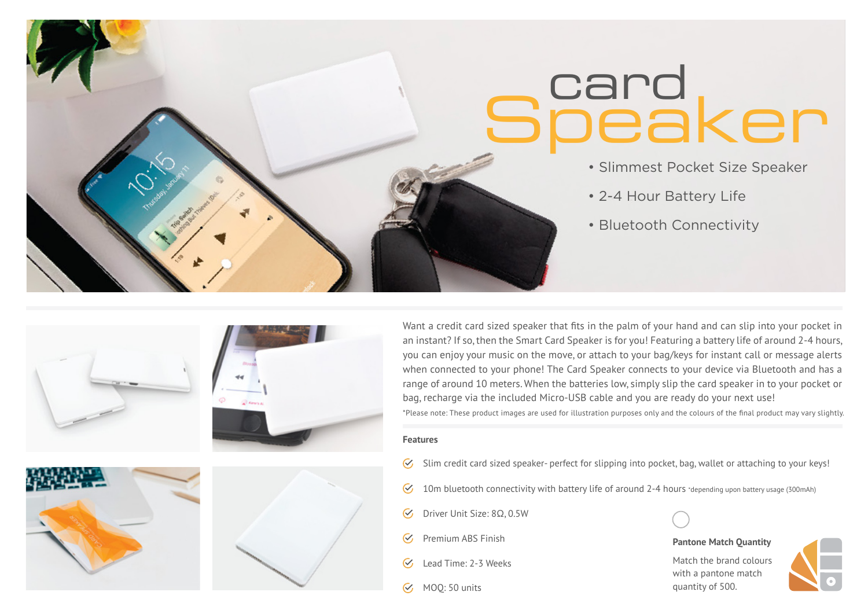# card **Speaker**

- Slimmest Pocket Size Speaker
- 2-4 Hour Battery Life
- Bluetooth Connectivity







Want a credit card sized speaker that fits in the palm of your hand and can slip into your pocket in an instant? If so, then the Smart Card Speaker is for you! Featuring a battery life of around 2-4 hours, you can enjoy your music on the move, or attach to your bag/keys for instant call or message alerts when connected to your phone! The Card Speaker connects to your device via Bluetooth and has a range of around 10 meters. When the batteries low, simply slip the card speaker in to your pocket or bag, recharge via the included Micro-USB cable and you are ready do your next use! \*Please note: These product images are used for illustration purposes only and the colours of the final product may vary slightly.

#### **Features**

- Slim credit card sized speaker- perfect for slipping into pocket, bag, wallet or attaching to your keys!  $\mathcal{C}_{\mathcal{F}}$
- 10m bluetooth connectivity with battery life of around 2-4 hours \*depending upon battery usage (300mAh)  $\mathcal{C}$
- Driver Unit Size: 8Ω, 0.5W  $\sigma$
- $\mathcal{C}_{I}$ Premium ABS Finish
- Lead Time: 2-3 Weeks  $\mathcal{C}_{I}$
- MOQ: 50 units



### **Pantone Match Quantity**

Match the brand colours with a pantone match quantity of 500.